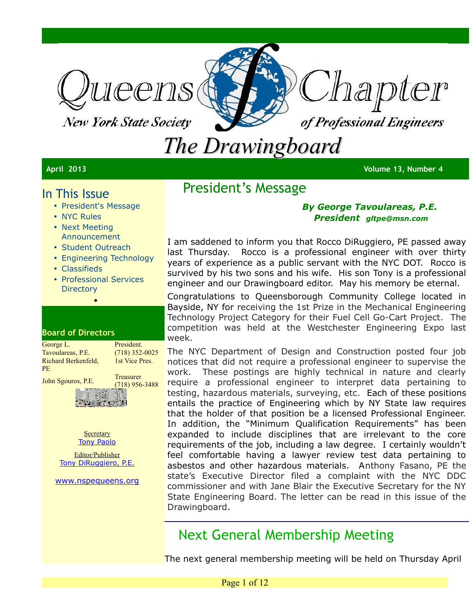

**New York State Society** 



## *The Drawingboard*

**April 2013 Volume 13, Number 4**

### In This Issue

- President's Message
- NYC Rules
- Next Meeting Announcement
- Student Outreach
- Engineering Technology
- Classifieds
- Professional Services **Directory**

•

#### **Board of Directors**

| George L.           | President.                    |
|---------------------|-------------------------------|
| Tavoulareas, P.E.   | $(718)$ 352-0025              |
| Richard Berkenfeld. | 1st Vice Pres.                |
| PF.                 |                               |
| John Sgouros, P.E.  | Treasurer<br>$(718)$ 956-3488 |
|                     |                               |



**Westford** 

Editor/Publisher [Tony DiRuggiero, P.E.](mailto:avd706@aol.com?subject=FEEDBACK:APRIL%20)

[www.nspequeens.org](http://www.nspequeens.org/)

## President's Message

#### *By George Tavoulareas, P.E. President gltpe@msn.com*

I am saddened to inform you that Rocco DiRuggiero, PE passed away last Thursday. Rocco is a professional engineer with over thirty years of experience as a public servant with the NYC DOT. Rocco is survived by his two sons and his wife. His son Tony is a professional engineer and our Drawingboard editor. May his memory be eternal.

Congratulations to Queensborough Community College located in Bayside, NY for receiving the 1st Prize in the Mechanical Engineering Technology Project Category for their Fuel Cell Go-Cart Project. The competition was held at the Westchester Engineering Expo last week.

The NYC Department of Design and Construction posted four job notices that did not require a professional engineer to supervise the work. These postings are highly technical in nature and clearly require a professional engineer to interpret data pertaining to testing, hazardous materials, surveying, etc. Each of these positions entails the practice of Engineering which by NY State law requires that the holder of that position be a licensed Professional Engineer. In addition, the "Minimum Qualification Requirements" has been expanded to include disciplines that are irrelevant to the core requirements of the job, including a law degree. I certainly wouldn't feel comfortable having a lawyer review test data pertaining to asbestos and other hazardous materials. Anthony Fasano, PE the state's Executive Director filed a complaint with the NYC DDC commissioner and with Jane Blair the Executive Secretary for the NY State Engineering Board. The letter can be read in this issue of the Drawingboard.

## Next General Membership Meeting

The next general membership meeting will be held on Thursday April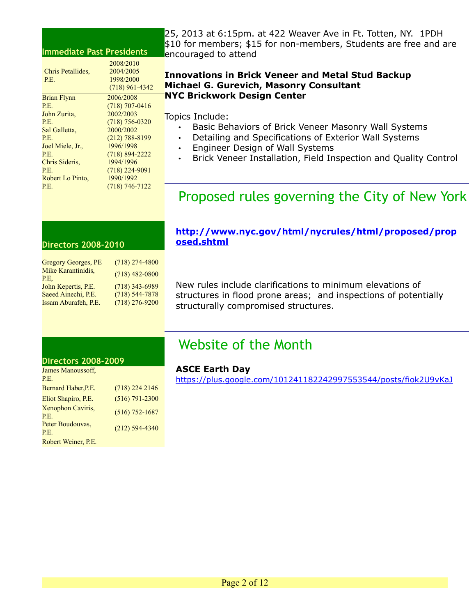#### **Immediate Past Presidents**

|                   | 2008/2010          |
|-------------------|--------------------|
| Chris Petallides. | 2004/2005          |
| P.E.              | 1998/2000          |
|                   | $(718)$ 961-4342   |
| Brian Flynn       | 2006/2008          |
| P.E.              | $(718)$ 707-0416   |
| John Zurita,      | 2002/2003          |
| P.E.              | $(718)$ 756-0320   |
| Sal Galletta,     | 2000/2002          |
| P.E.              | $(212) 788 - 8199$ |
| Joel Miele, Jr.,  | 1996/1998          |
| P.E.              | $(718) 894 - 2222$ |
| Chris Sideris,    | 1994/1996          |
| P.E.              | $(718)$ 224-9091   |
| Robert Lo Pinto,  | 1990/1992          |
| P.E.              | $(718) 746 - 7122$ |
|                   |                    |

25, 2013 at 6:15pm. at 422 Weaver Ave in Ft. Totten, NY. 1PDH \$10 for members; \$15 for non-members, Students are free and are encouraged to attend

#### **Innovations in Brick Veneer and Metal Stud Backup Michael G. Gurevich, Masonry Consultant NYC Brickwork Design Center**

Topics Include:

- Basic Behaviors of Brick Veneer Masonry Wall Systems
- Detailing and Specifications of Exterior Wall Systems
- Engineer Design of Wall Systems
- Brick Veneer Installation, Field Inspection and Quality Control

## Proposed rules governing the City of New York

#### **Directors 2008-2010**

| $(718)$ 274-4800   |
|--------------------|
| $(718)$ 482-0800   |
| $(718)$ 343-6989   |
| $(718) 544 - 7878$ |
| $(718)$ 276-9200   |
|                    |

**[http://www.nyc.gov/html/nycrules/html/proposed/prop](http://www.nyc.gov/html/nycrules/html/proposed/proposed.shtml) [osed.shtml](http://www.nyc.gov/html/nycrules/html/proposed/proposed.shtml)**

New rules include clarifications to minimum elevations of structures in flood prone areas; and inspections of potentially structurally compromised structures.

## Website of the Month

#### **Directors 2008-2009**

| James Manoussoff,<br>P.E. |                    |
|---------------------------|--------------------|
| Bernard Haber, P.E.       | $(718)$ 224 2146   |
| Eliot Shapiro, P.E.       | $(516) 791 - 2300$ |
| Xenophon Caviris,<br>P.E. | $(516) 752 - 1687$ |
| Peter Boudouvas,<br>P.E.  | $(212)$ 594-4340   |
| Robert Weiner, P.E.       |                    |

#### **ASCE Earth Day**

<https://plus.google.com/101241182242997553544/posts/fiok2U9vKaJ>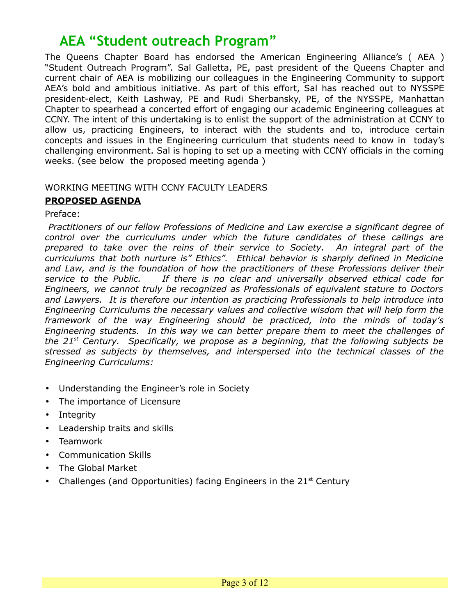## **AEA "Student outreach Program"**

The Queens Chapter Board has endorsed the American Engineering Alliance's ( AEA ) "Student Outreach Program". Sal Galletta, PE, past president of the Queens Chapter and current chair of AEA is mobilizing our colleagues in the Engineering Community to support AEA's bold and ambitious initiative. As part of this effort, Sal has reached out to NYSSPE president-elect, Keith Lashway, PE and Rudi Sherbansky, PE, of the NYSSPE, Manhattan Chapter to spearhead a concerted effort of engaging our academic Engineering colleagues at CCNY. The intent of this undertaking is to enlist the support of the administration at CCNY to allow us, practicing Engineers, to interact with the students and to, introduce certain concepts and issues in the Engineering curriculum that students need to know in today's challenging environment. Sal is hoping to set up a meeting with CCNY officials in the coming weeks. (see below the proposed meeting agenda )

#### WORKING MEETING WITH CCNY FACULTY LEADERS

#### **PROPOSED AGENDA**

Preface:

*Practitioners of our fellow Professions of Medicine and Law exercise a significant degree of control over the curriculums under which the future candidates of these callings are prepared to take over the reins of their service to Society. An integral part of the curriculums that both nurture is" Ethics". Ethical behavior is sharply defined in Medicine and Law, and is the foundation of how the practitioners of these Professions deliver their service to the Public. If there is no clear and universally observed ethical code for Engineers, we cannot truly be recognized as Professionals of equivalent stature to Doctors and Lawyers. It is therefore our intention as practicing Professionals to help introduce into Engineering Curriculums the necessary values and collective wisdom that will help form the framework of the way Engineering should be practiced, into the minds of today's Engineering students. In this way we can better prepare them to meet the challenges of the 21st Century. Specifically, we propose as a beginning, that the following subjects be stressed as subjects by themselves, and interspersed into the technical classes of the Engineering Curriculums:*

- Understanding the Engineer's role in Society
- The importance of Licensure
- Integrity
- Leadership traits and skills
- Teamwork
- Communication Skills
- The Global Market
- Challenges (and Opportunities) facing Engineers in the  $21<sup>st</sup>$  Century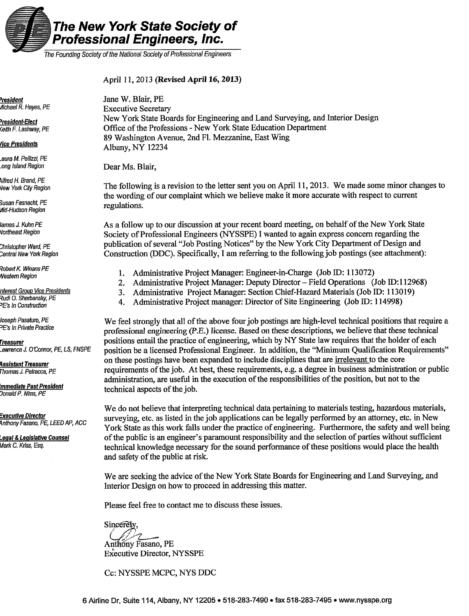

The Founding Society of the National Society of Professional Engineers

#### April 11, 2013 (Revised April 16, 2013)

<u>President</u> Michael R. Hayes, PE

**President-Elect Ceith F. Lashway, PE** 

#### **fice Presidents**

aura M. Pellizzi, PE ong Island Region

Alfred H. Brand, PE Vew York City Region

Susan Fasnacht, PE Mid-Hudson Region

lames J. Kuhn PE **Vortheast Region** 

Christopher Ward, PE Central New York Region

Robert K. Winans PE **Nestern Region** 

nterest Group Vice Presidents Rudi O. Sherbansky, PE **PE's In Construction** 

Joseph Pasaturo, PE <sup>2</sup>E's in Private Practice

<u>Treasurer</u> awrence J. O'Connor, PE, LS, FNSPE

Assistant Treasurer Thomas J. Petracca, PE

mmediate Past President Donald P. Nims. PE

Executive Director Anthony Fasano, PE, LEED AP, ACC

Legal & Legislative Counsel Mark C. Kriss, Esq.

Jane W. Blair, PE **Executive Secretary** New York State Boards for Engineering and Land Surveying, and Interior Design Office of the Professions - New York State Education Department 89 Washington Avenue, 2nd Fl. Mezzanine, East Wing Albany, NY 12234

Dear Ms. Blair.

The following is a revision to the letter sent you on April 11, 2013. We made some minor changes to the wording of our complaint which we believe make it more accurate with respect to current regulations.

As a follow up to our discussion at your recent board meeting, on behalf of the New York State Society of Professional Engineers (NYSSPE) I wanted to again express concern regarding the publication of several "Job Posting Notices" by the New York City Department of Design and Construction (DDC). Specifically, I am referring to the following job postings (see attachment):

- 1. Administrative Project Manager: Engineer-in-Charge (Job ID: 113072)
- 2. Administrative Project Manager: Deputy Director Field Operations (Job ID:112968)
- Administrative Project Manager: Section Chief-Hazard Materials (Job ID: 113019) 3.
- Administrative Project manager: Director of Site Engineering (Job ID: 114998) 4.

We feel strongly that all of the above four job postings are high-level technical positions that require a professional engineering (P.E.) license. Based on these descriptions, we believe that these technical positions entail the practice of engineering, which by NY State law requires that the holder of each position be a licensed Professional Engineer. In addition, the "Minimum Qualification Requirements" on these postings have been expanded to include disciplines that are <u>irrelevant</u> to the core requirements of the job. At best, these requirements, e.g. a degree in business administration or public administration, are useful in the execution of the responsibilities of the position, but not to the technical aspects of the job.

We do not believe that interpreting technical data pertaining to materials testing, hazardous materials, surveying, etc. as listed in the job applications can be legally performed by an attorney, etc. in New York State as this work falls under the practice of engineering. Furthermore, the safety and well being of the public is an engineer's paramount responsibility and the selection of parties without sufficient technical knowledge necessary for the sound performance of these positions would place the health and safety of the public at risk.

We are seeking the advice of the New York State Boards for Engineering and Land Surveying, and Interior Design on how to proceed in addressing this matter.

Please feel free to contact me to discuss these issues.

Sincerely,

Anthony Fasano, PE **Executive Director, NYSSPE** 

Cc: NYSSPE MCPC, NYS DDC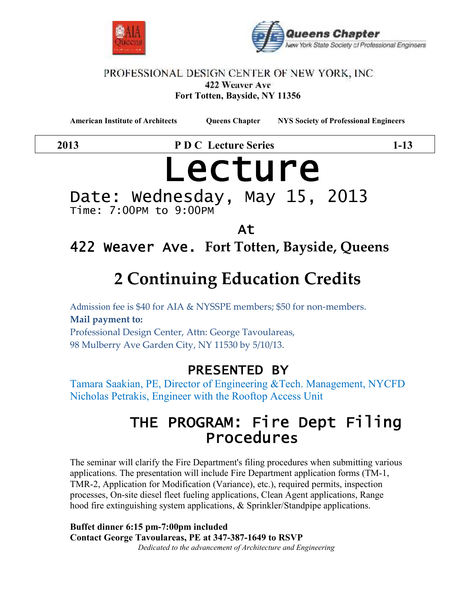



#### PROFESSIONAL DESIGN CENTER OF NEW YORK, INC. 422 Weaver Ave **Fort Totten, Bayside, NY 11356**

**American Institute of Architects Queens Chapter NYS Society of Professional Engineers**

**2013 P D C Lecture Series 1-13**

# **Lecture**

Date: Wednesday, May 15, 2013 Time: 7:00PM to 9:00PM

## **At**

## **422 Weaver Ave. Fort Totten, Bayside, Queens**

## **2 Continuing Education Credits**

Admission fee is \$40 for AIA & NYSSPE members; \$50 for non-members. **Mail payment to:** Professional Design Center, Attn: George Tavoulareas, 98 Mulberry Ave Garden City, NY 11530 by 5/10/13.

## **PRESENTED BY**

Tamara Saakian, PE, Director of Engineering &Tech. Management, NYCFD Nicholas Petrakis, Engineer with the Rooftop Access Unit

## **THE PROGRAM: Fire Dept Filing Procedures**

The seminar will clarify the Fire Department's filing procedures when submitting various applications. The presentation will include Fire Department application forms (TM-1, TMR-2, Application for Modification (Variance), etc.), required permits, inspection processes, On-site diesel fleet fueling applications, Clean Agent applications, Range hood fire extinguishing system applications, & Sprinkler/Standpipe applications.

**Buffet dinner 6:15 pm-7:00pm included Contact George Tavoulareas, PE at 347-387-1649 to RSVP** *Dedicated to the advancement of Architecture and Engineering*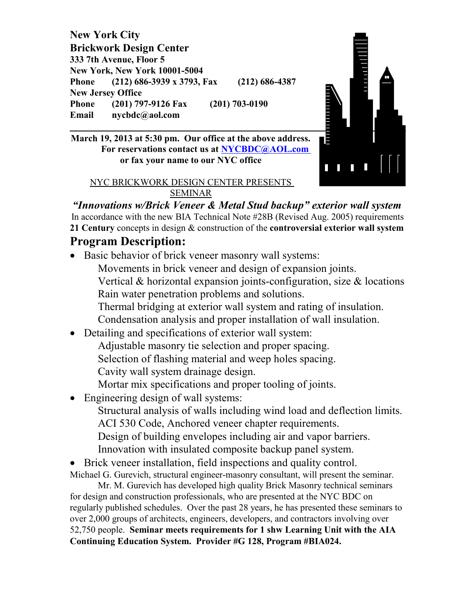**New York City Brickwork Design Center 333 7th Avenue, Floor 5 New York, New York 10001-5004 Phone (212) 686-3939 x 3793, Fax (212) 686-4387**<br> **Phone (201) 797-9126 Fax (201) 703-0190**<br> **Email nycbdc@aol.com**<br> **March 19, 2013 at 5:30 pm. Our office at the above address. New Jersey Office Phone (201) 797-9126 Fax (201) 703-0190 Email nycbdc@aol.com**

**March 19, 2013 at 5:30 pm. Our office at the above address. For reservations contact us at NYCBDC@AOL.com or fax your name to our NYC office**

#### NYC BRICKWORK DESIGN CENTER PRESENTS SEMINAR

*"Innovations w/Brick Veneer & Metal Stud backup" exterior wall system* In accordance with the new BIA Technical Note #28B (Revised Aug. 2005) requirements **21 Century** concepts in design & construction of the **controversial exterior wall system**

## **Program Description:**

- Basic behavior of brick veneer masonry wall systems:
	- Movements in brick veneer and design of expansion joints.
	- Vertical & horizontal expansion joints-configuration, size & locations Rain water penetration problems and solutions.

n<br>E

Thermal bridging at exterior wall system and rating of insulation.

Condensation analysis and proper installation of wall insulation.

- Detailing and specifications of exterior wall system:
	- Adjustable masonry tie selection and proper spacing.
	- Selection of flashing material and weep holes spacing.

Cavity wall system drainage design.

- Mortar mix specifications and proper tooling of joints.
- Engineering design of wall systems:

Structural analysis of walls including wind load and deflection limits. ACI 530 Code, Anchored veneer chapter requirements.

- Design of building envelopes including air and vapor barriers.
- Innovation with insulated composite backup panel system.
- Brick veneer installation, field inspections and quality control.

Michael G. Gurevich, structural engineer-masonry consultant, will present the seminar.

Mr. M. Gurevich has developed high quality Brick Masonry technical seminars for design and construction professionals, who are presented at the NYC BDC on regularly published schedules. Over the past 28 years, he has presented these seminars to over 2,000 groups of architects, engineers, developers, and contractors involving over 52,750 people. **Seminar meets requirements for 1 shw Learning Unit with the AIA Continuing Education System. Provider #G 128, Program #BIA024.**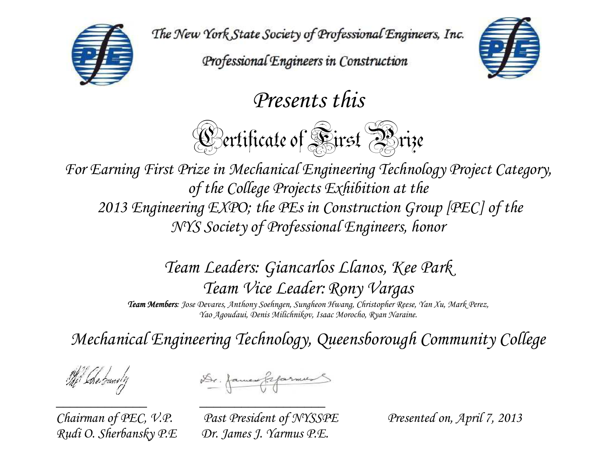The New York State Society of Professional Engineers, Inc.

Professional Engineers in Construction



*Presents this* 

**Certificate of Sirst Arize** 

*For Earning First Prize in Mechanical Engineering Technology Project Category, of the College Projects Exhibition at the 2013 Engineering EXPO; the PEs in Construction Group [PEC] of the NYS Society of Professional Engineers, honor* 

> *Team Leaders: Giancarlos Llanos, Kee Park Team Vice Leader:Rony Vargas*

**Team Members**: Jose Devares, Anthony Soehngen, Sungheon Hwang, Christopher Reese, Yan Xu, Mark Perez, *Yao Agoudaui, Denis Milichnikov, Isaac Morocho, Ryan Naraine.* 

*Mechanical Engineering Technology, Queensborough Community College* 

The Love bandly

Dr. James Gefarmes

*\_\_\_\_\_\_\_\_\_\_\_\_\_ \_\_\_\_\_\_\_\_\_\_\_\_\_\_\_\_\_\_* 

*Chairman of PEC, V.P. Past President of NYSSPE Presented on, April 7, 2013 Rudi O. Sherbansky P.E Dr. James J. Yarmus P.E.*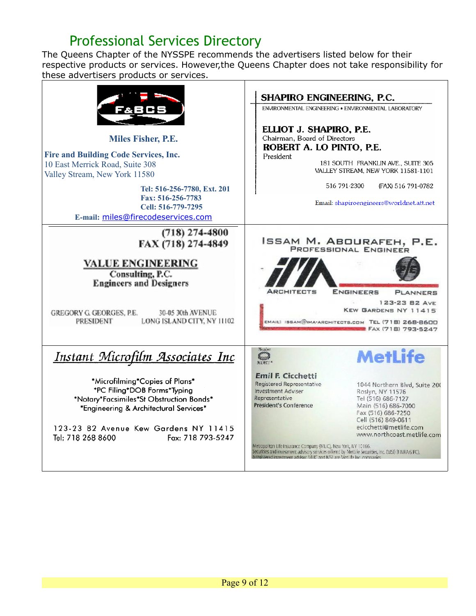## Professional Services Directory

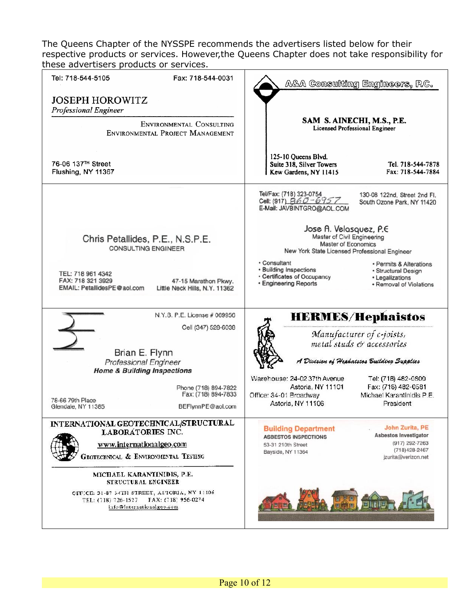| Fax: 718-544-0031<br>Tel: 718-544-5105                                                                                         | A&A Consulting Engineers, P.C.                                                                                                                                                                        |
|--------------------------------------------------------------------------------------------------------------------------------|-------------------------------------------------------------------------------------------------------------------------------------------------------------------------------------------------------|
| <b>JOSEPH HOROWITZ</b><br><b>Professional Engineer</b>                                                                         |                                                                                                                                                                                                       |
| ENVIRONMENTAL CONSULTING<br>ENVIRONMENTAL PROJECT MANAGEMENT                                                                   | SAM S. AINECHI, M.S., P.E.<br><b>Licensed Professional Engineer</b>                                                                                                                                   |
| 76-06 137TH Street<br>Flushing, NY 11367                                                                                       | 125-10 Queens Blvd.<br>Suite 318, Silver Towers<br>Tel. 718-544-7878<br>Fax: 718-544-7884<br>Kew Gardens, NY 11415                                                                                    |
|                                                                                                                                | Tel/Fax: (718) 323-0754<br>130-08 122nd, Street 2nd Fl.<br>Cell: (917) 860-6957<br>South Ozone Park, NY 11420<br>E-Mail: JAVBINTGRO@AOL.COM                                                           |
| Chris Petallides, P.E., N.S.P.E.<br><b>CONSULTING ENGINEER</b>                                                                 | Jose A. Velasquez, P.E.<br>Master of Civil Engineering<br><b>Master of Economics</b><br>New York State Licensed Professional Engineer                                                                 |
| TEL: 718 961 4342<br>FAX: 718 321 3929<br>47-15 Marathon Pkwy.<br>EMAIL: PetallidesPE@aol.com<br>Little Neck Hills, N.Y. 11362 | • Consultant<br>· Permits & Alterations<br>• Building Inspections<br>· Structural Design<br>• Certificates of Occupancy<br>• Legalizations<br><b>• Engineering Reports</b><br>• Removal of Violations |
| N.Y.S. P.E. License # 069956                                                                                                   | <b>HERMES/Hephaistos</b>                                                                                                                                                                              |
| Cell (347) 528-6038                                                                                                            | Manufacturer of c-joists,                                                                                                                                                                             |
| Brian E. Flynn                                                                                                                 | metal studs & accessories                                                                                                                                                                             |
| <b>Professional Engineer</b>                                                                                                   | A Division of Hephaistos Building Supplies                                                                                                                                                            |
| <b>Home &amp; Building Inspections</b>                                                                                         | Warehouse: 24-02 37th Avenue<br>Tel: (718) 482-0800                                                                                                                                                   |
| Phone (718) 894-7822                                                                                                           | Fax: (718) 482-0581<br>Astoria, NY 11101                                                                                                                                                              |
| Fax: (718) 894-7833<br>78-66 79th Place<br>BEFlynnPE@aol.com<br>Glendale, NY 11385                                             | Office: 34-01 Broadway<br>Michael Karantinidis P.E.<br>Astoria, NY 11106<br>President                                                                                                                 |
| INTERNATIONAL GEOTECHNICAL/STRUCTURAL                                                                                          | <b>John Zurita, PE</b><br><b>Building Department</b>                                                                                                                                                  |
| <b>LABORÁTORIES INC.</b>                                                                                                       | Asbestos Investigator<br><b>ASBESTOS INSPECTIONS</b><br>$(917)$ 292-7263                                                                                                                              |
| www.internationalgeo.com<br>GEOTECHNICAL & ENVIRONMENTAL TESTING                                                               | 53-31 210th Street<br>$(718)428 - 2467$<br>Bayside, NY 11364<br>jzurita@verizon.net                                                                                                                   |
| MICHAEL KARANTINIDIS, P.E.<br>STRUCTURAL ENGINEER                                                                              |                                                                                                                                                                                                       |
| OFFICE: 31-87 34TH STREET, ASTORIA, NY 11106<br>FAX: (718) 956-0274<br>TEL: (718) 726-1527<br>info@internationalgeo.com        |                                                                                                                                                                                                       |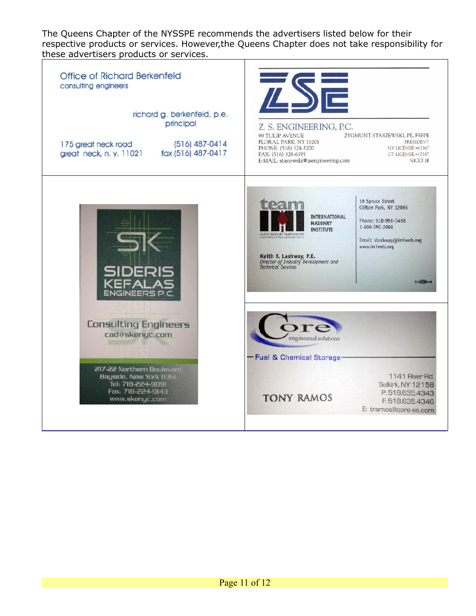